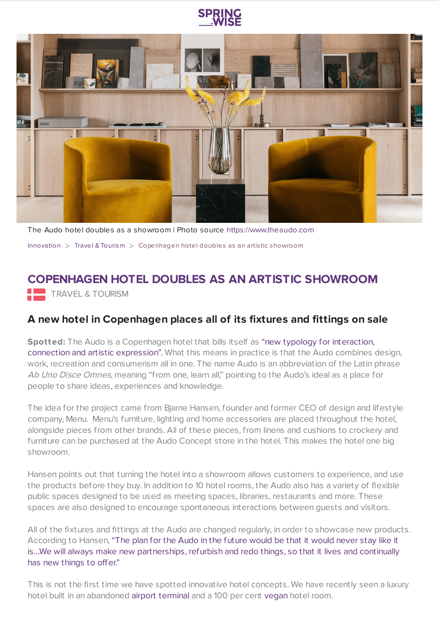



The Audo hotel doubles as a showroom | Photo source [https://www.theaudo.com](https://www.springwise.com/innovation/travel-tourism/The%20Audo) [Innovation](https://www.springwise.com/search?type=innovation)  $>$  Travel & [Tourism](https://www.springwise.com/search?type=innovation§or=travel-and-tourism)  $>$  Copenhagen hotel doubles as an artistic showroom

## **COPENHAGEN HOTEL DOUBLES AS AN ARTISTIC SHOWROOM**

**TRAVEL & TOURISM** 

## **A new hotel in Copenhagen places all of its fixtures and fittings on sale**

**Spotted:** The Audo is a [Copenhagen](https://www.dezeen.com/2020/02/21/the-audo-hotel-copenhagen-video/) hotel that bills itself as "new typology for interaction, connection and artistic expression". What this means in practice is that the Audo combines design, work, recreation and consumerism all in one. The name Audo is an abbreviation of the Latin phrase Ab Uno Disce Omnes, meaning "from one, learn all," pointing to the Audo's ideal as a place for people to share ideas, experiences and knowledge.

The idea for the project came from Bjarne Hansen, founder and former CEO of design and lifestyle company, Menu. Menu's furniture, lighting and home accessories are placed throughout the hotel, alongside pieces from other brands. All of these pieces, from linens and cushions to crockery and furniture can be purchased at the Audo Concept store in the hotel. This makes the hotel one big showroom.

Hansen points out that turning the hotel into a showroom allows customers to experience, and use the products before they buy. In addition to 10 hotel rooms, the Audo also has a variety of flexible public spaces designed to be used as meeting spaces, libraries, restaurants and more. These spaces are also designed to encourage spontaneous interactions between guests and visitors.

All of the fixtures and fittings at the Audo are changed regularly, in order to showcase new products. According to Hansen, "The plan for the Audo in the future would be that it would never stay like it is…We will always make new [partnerships,](https://www.dezeen.com/2020/02/21/the-audo-hotel-copenhagen-video/) refurbish and redo things, so that it lives and continually has new things to offer."

This is not the first time we have spotted innovative hotel concepts. We have recently seen a luxury hotel built in an abandoned airport [terminal](https://www.springwise.com/abandoned-airport-terminal-becomes-luxury-nyc-hotel/) and a 100 per cent [vegan](https://www.springwise.com/new-hotel-suite-promises-100-vegan-experience/) hotel room.